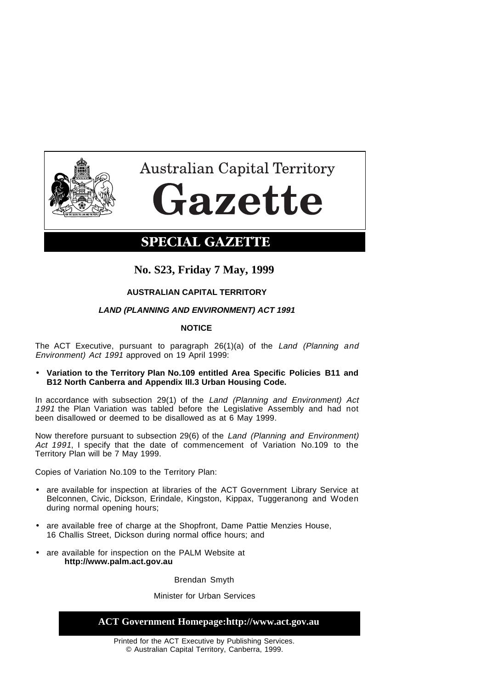

**Australian Capital Territory** tazette

# **SPECIAL GAZETTE**

## **No. S23, Friday 7 May, 1999**

## **AUSTRALIAN CAPITAL TERRITORY**

## **LAND (PLANNING AND ENVIRONMENT) ACT 1991**

## **NOTICE**

The ACT Executive, pursuant to paragraph 26(1)(a) of the Land (Planning and Environment) Act 1991 approved on 19 April 1999:

• **Variation to the Territory Plan No.109 entitled Area Specific Policies B11 and B12 North Canberra and Appendix III.3 Urban Housing Code.**

In accordance with subsection 29(1) of the Land (Planning and Environment) Act 1991 the Plan Variation was tabled before the Legislative Assembly and had not been disallowed or deemed to be disallowed as at 6 May 1999.

Now therefore pursuant to subsection 29(6) of the Land (Planning and Environment) Act 1991, I specify that the date of commencement of Variation No.109 to the Territory Plan will be 7 May 1999.

Copies of Variation No.109 to the Territory Plan:

- are available for inspection at libraries of the ACT Government Library Service at Belconnen, Civic, Dickson, Erindale, Kingston, Kippax, Tuggeranong and Woden during normal opening hours;
- are available free of charge at the Shopfront, Dame Pattie Menzies House, 16 Challis Street, Dickson during normal office hours; and
- are available for inspection on the PALM Website at **http://www.palm.act.gov.au**

Brendan Smyth

#### Minister for Urban Services

#### **ACT Government Homepage:http://www.act.gov.au**

Printed for the ACT Executive by Publishing Services. © Australian Capital Territory, Canberra, 1999.